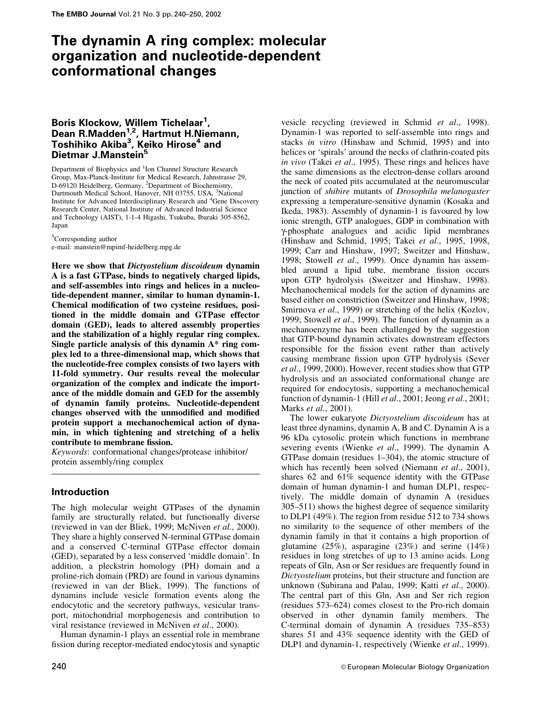# The dynamin A ring complex: molecular organization and nucleotide-dependent conformational changes

# Boris Klockow, Willem Tichelaar<sup>1</sup>, Dean R.Madden<sup>1,2</sup>, Hartmut H.Niemann, Toshihiko Akiba<sup>3</sup>, Keiko Hirose<sup>4</sup> and Dietmar J.Manstein<sup>5</sup>

Department of Biophysics and <sup>1</sup>Ion Channel Structure Research Group, Max-Planck-Institute for Medical Research, Jahnstrasse 29, D-69120 Heidelberg, Germany, <sup>2</sup>Department of Biochemistry, Dartmouth Medical School, Hanover, NH 03755, USA, <sup>3</sup>National Institute for Advanced Interdisciplinary Research and <sup>4</sup>Gene Discovery Research Center, National Institute of Advanced Industrial Science and Technology (AIST), 1-1-4 Higashi, Tsukuba, Ibaraki 305-8562, Japan

<sup>5</sup>Corresponding author e-mail: manstein@mpimf-heidelberg.mpg.de

Here we show that Dictyostelium discoideum dynamin A is a fast GTPase, binds to negatively charged lipids, and self-assembles into rings and helices in a nucleotide-dependent manner, similar to human dynamin-1. Chemical modification of two cysteine residues, positioned in the middle domain and GTPase effector domain (GED), leads to altered assembly properties and the stabilization of a highly regular ring complex. Single particle analysis of this dynamin A\* ring complex led to a three-dimensional map, which shows that the nucleotide-free complex consists of two layers with 11-fold symmetry. Our results reveal the molecular organization of the complex and indicate the importance of the middle domain and GED for the assembly of dynamin family proteins. Nucleotide-dependent changes observed with the unmodified and modified protein support a mechanochemical action of dynamin, in which tightening and stretching of a helix contribute to membrane fission.

Keywords: conformational changes/protease inhibitor/ protein assembly/ring complex

# Introduction

The high molecular weight GTPases of the dynamin family are structurally related, but functionally diverse (reviewed in van der Bliek, 1999; McNiven et al., 2000). They share a highly conserved N-terminal GTPase domain and a conserved C-terminal GTPase effector domain (GED), separated by a less conserved `middle domain'. In addition, a pleckstrin homology (PH) domain and a proline-rich domain (PRD) are found in various dynamins (reviewed in van der Bliek, 1999). The functions of dynamins include vesicle formation events along the endocytotic and the secretory pathways, vesicular transport, mitochondrial morphogenesis and contribution to viral resistance (reviewed in McNiven et al., 2000).

Human dynamin-1 plays an essential role in membrane fission during receptor-mediated endocytosis and synaptic vesicle recycling (reviewed in Schmid et al., 1998). Dynamin-1 was reported to self-assemble into rings and stacks in vitro (Hinshaw and Schmid, 1995) and into helices or 'spirals' around the necks of clathrin-coated pits in vivo (Takei et al., 1995). These rings and helices have the same dimensions as the electron-dense collars around the neck of coated pits accumulated at the neuromuscular junction of *shibire* mutants of *Drosophila melanogaster* expressing a temperature-sensitive dynamin (Kosaka and Ikeda, 1983). Assembly of dynamin-1 is favoured by low ionic strength, GTP analogues, GDP in combination with g-phosphate analogues and acidic lipid membranes (Hinshaw and Schmid, 1995; Takei et al., 1995, 1998, 1999; Carr and Hinshaw, 1997; Sweitzer and Hinshaw, 1998; Stowell et al., 1999). Once dynamin has assembled around a lipid tube, membrane fission occurs upon GTP hydrolysis (Sweitzer and Hinshaw, 1998). Mechanochemical models for the action of dynamins are based either on constriction (Sweitzer and Hinshaw, 1998; Smirnova et al., 1999) or stretching of the helix (Kozlov, 1999; Stowell et al., 1999). The function of dynamin as a mechanoenzyme has been challenged by the suggestion that GTP-bound dynamin activates downstream effectors responsible for the fission event rather than actively causing membrane fission upon GTP hydrolysis (Sever et al., 1999, 2000). However, recent studies show that GTP hydrolysis and an associated conformational change are required for endocytosis, supporting a mechanochemical function of dynamin-1 (Hill et al., 2001; Jeong et al., 2001; Marks et al., 2001).

The lower eukaryote Dictyostelium discoideum has at least three dynamins, dynamin A, B and C. Dynamin A is a 96 kDa cytosolic protein which functions in membrane severing events (Wienke et al., 1999). The dynamin A GTPase domain (residues  $1-304$ ), the atomic structure of which has recently been solved (Niemann et al., 2001), shares 62 and 61% sequence identity with the GTPase domain of human dynamin-1 and human DLP1, respectively. The middle domain of dynamin A (residues 305–511) shows the highest degree of sequence similarity to DLP1 (49%). The region from residue 512 to 734 shows no similarity to the sequence of other members of the dynamin family in that it contains a high proportion of glutamine (25%), asparagine (23%) and serine (14%) residues in long stretches of up to 13 amino acids. Long repeats of Gln, Asn or Ser residues are frequently found in Dictyostelium proteins, but their structure and function are unknown (Subirana and Palau, 1999; Katti et al., 2000). The central part of this Gln, Asn and Ser rich region (residues 573-624) comes closest to the Pro-rich domain observed in other dynamin family members. The C-terminal domain of dynamin A (residues  $735-853$ ) shares 51 and 43% sequence identity with the GED of DLP1 and dynamin-1, respectively (Wienke et al., 1999).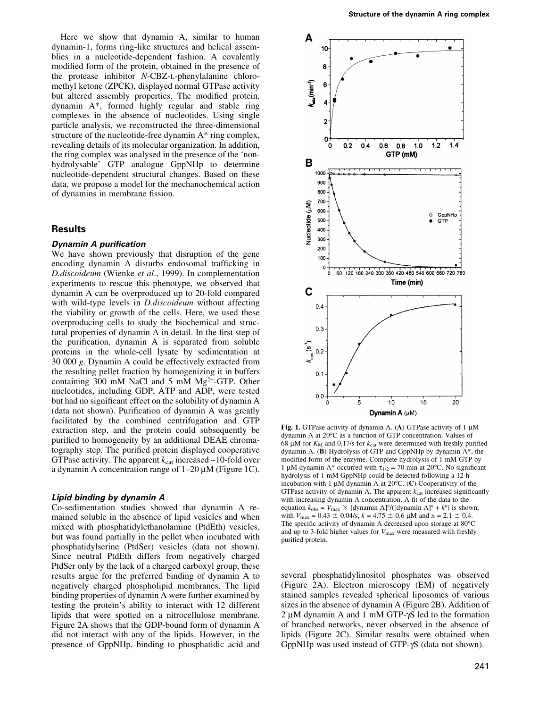Here we show that dynamin A, similar to human dynamin-1, forms ring-like structures and helical assemblies in a nucleotide-dependent fashion. A covalently modified form of the protein, obtained in the presence of the protease inhibitor N-CBZ-L-phenylalanine chloromethyl ketone (ZPCK), displayed normal GTPase activity but altered assembly properties. The modified protein, dynamin A\*, formed highly regular and stable ring complexes in the absence of nucleotides. Using single particle analysis, we reconstructed the three-dimensional structure of the nucleotide-free dynamin A\* ring complex, revealing details of its molecular organization. In addition, the ring complex was analysed in the presence of the `nonhydrolysable' GTP analogue GppNHp to determine nucleotide-dependent structural changes. Based on these data, we propose a model for the mechanochemical action of dynamins in membrane fission.

## Results

#### **Dynamin A purification**

We have shown previously that disruption of the gene encoding dynamin A disturbs endosomal trafficking in D.discoideum (Wienke et al., 1999). In complementation experiments to rescue this phenotype, we observed that dynamin A can be overproduced up to 20-fold compared with wild-type levels in *D.discoideum* without affecting the viability or growth of the cells. Here, we used these overproducing cells to study the biochemical and structural properties of dynamin A in detail. In the first step of the purification, dynamin A is separated from soluble proteins in the whole-cell lysate by sedimentation at 30 000 g. Dynamin A could be effectively extracted from the resulting pellet fraction by homogenizing it in buffers containing 300 mM NaCl and 5 mM Mg2+-GTP. Other nucleotides, including GDP, ATP and ADP, were tested but had no significant effect on the solubility of dynamin A  $(data not shown)$ . Purification of dynamin A was greatly facilitated by the combined centrifugation and GTP extraction step, and the protein could subsequently be purified to homogeneity by an additional DEAE chromatography step. The purified protein displayed cooperative GTPase activity. The apparent  $k_{cat}$  increased  $\sim$ 10-fold over a dynamin A concentration range of  $1-20 \mu M$  (Figure 1C).

#### Lipid binding by dynamin A

Co-sedimentation studies showed that dynamin A remained soluble in the absence of lipid vesicles and when mixed with phosphatidylethanolamine (PtdEth) vesicles, but was found partially in the pellet when incubated with phosphatidylserine (PtdSer) vesicles (data not shown). Since neutral PtdEth differs from negatively charged PtdSer only by the lack of a charged carboxyl group, these results argue for the preferred binding of dynamin A to negatively charged phospholipid membranes. The lipid binding properties of dynamin A were further examined by testing the protein's ability to interact with 12 different lipids that were spotted on a nitrocellulose membrane. Figure 2A shows that the GDP-bound form of dynamin A did not interact with any of the lipids. However, in the presence of GppNHp, binding to phosphatidic acid and



Fig. 1. GTPase activity of dynamin A. (A) GTPase activity of  $1 \mu$ M dynamin A at 20°C as a function of GTP concentration. Values of 68 µM for  $K_M$  and 0.17/s for  $k_{cat}$  were determined with freshly purified dynamin A. (B) Hydrolysis of GTP and GppNHp by dynamin A\*, the modified form of the enzyme. Complete hydrolysis of 1 mM GTP by 1 µM dynamin A\* occurred with  $\tau_{1/2}$  = 70 min at 20°C. No significant hydrolysis of 1 mM GppNHp could be detected following a 12 h incubation with 1  $\mu$ M dynamin A at 20 $^{\circ}$ C. (C) Cooperativity of the GTPase activity of dynamin A. The apparent  $k_{\text{cat}}$  increased significantly with increasing dynamin A concentration. A fit of the data to the equation  $k_{obs} = V_{max} \times [dynamic]$  A]<sup>n</sup>/([dynamin A]<sup>n</sup> + k<sup>n</sup>) is shown, with  $V_{\text{max}} = 0.43 \pm 0.04$ /s,  $k = 4.75 \pm 0.6$  µM and  $n = 2.1 \pm 0.4$ . The specific activity of dynamin A decreased upon storage at  $80^{\circ}$ C and up to 3-fold higher values for  $V_{\text{max}}$  were measured with freshly purified protein.

several phosphatidylinositol phosphates was observed (Figure 2A). Electron microscopy (EM) of negatively stained samples revealed spherical liposomes of various sizes in the absence of dynamin A (Figure 2B). Addition of 2  $\mu$ M dynamin A and 1 mM GTP- $\gamma$ S led to the formation of branched networks, never observed in the absence of lipids (Figure 2C). Similar results were obtained when GppNHp was used instead of GTP- $\gamma$ S (data not shown).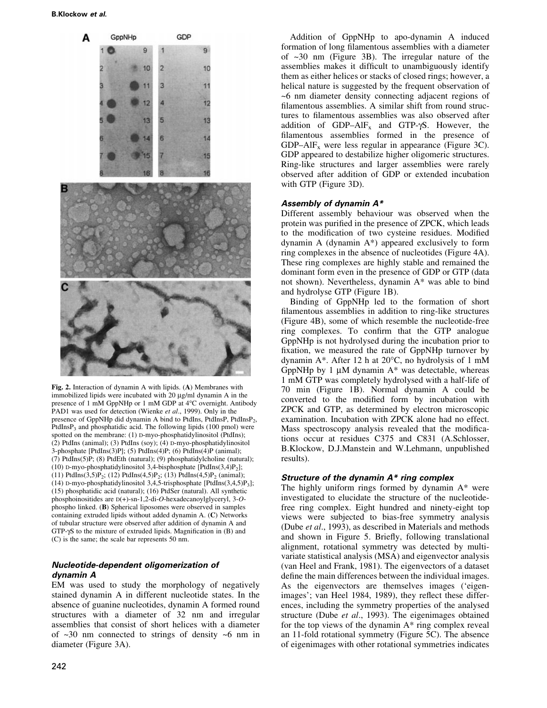

Fig. 2. Interaction of dynamin A with lipids. (A) Membranes with immobilized lipids were incubated with  $20 \mu g/ml$  dynamin A in the presence of 1 mM GppNHp or 1 mM GDP at 4°C overnight. Antibody PAD1 was used for detection (Wienke et al., 1999). Only in the presence of GppNHp did dynamin A bind to PtdIns, PtdInsP, PtdInsP<sub>2</sub>, PtdIns $P_3$  and phosphatidic acid. The following lipids (100 pmol) were spotted on the membrane: (1) D-myo-phosphatidylinositol (PtdIns); (2) PtdIns (animal); (3) PtdIns (soy); (4) D-myo-phosphatidylinositol 3-phosphate [PtdIns(3)P]; (5) PtdIns(4)P; (6) PtdIns(4)P (animal); (7) PtdIns(5)P; (8) PtdEth (natural); (9) phosphatidylcholine (natural); (10) D-myo-phosphatidylinositol 3,4-bisphosphate [PtdIns(3,4) $P_2$ ]; (11) PtdIns(3,5)P<sub>2</sub>; (12) PtdIns(4,5)P<sub>2</sub>; (13) PtdIns(4,5)P<sub>2</sub> (animal); (14) D-myo-phosphatidylinositol 3,4,5-trisphosphate [PtdIns(3,4,5)P3]; (15) phosphatidic acid (natural); (16) PtdSer (natural). All synthetic phosphoinositides are D(+)-sn-1,2-di-O-hexadecanoylglyceryl, 3-Ophospho linked. (B) Spherical liposomes were observed in samples containing extruded lipids without added dynamin A. (C) Networks of tubular structure were observed after addition of dynamin A and  $GTP-\gamma S$  to the mixture of extruded lipids. Magnification in  $(B)$  and (C) is the same; the scale bar represents 50 nm.

# Nucleotide-dependent oligomerization of dynamin A

EM was used to study the morphology of negatively stained dynamin A in different nucleotide states. In the absence of guanine nucleotides, dynamin A formed round structures with a diameter of 32 nm and irregular assemblies that consist of short helices with a diameter of  $\sim$ 30 nm connected to strings of density  $\sim$ 6 nm in diameter (Figure 3A).

Addition of GppNHp to apo-dynamin A induced formation of long filamentous assemblies with a diameter of  $\sim$ 30 nm (Figure 3B). The irregular nature of the assemblies makes it difficult to unambiguously identify them as either helices or stacks of closed rings; however, a helical nature is suggested by the frequent observation of ~6 nm diameter density connecting adjacent regions of filamentous assemblies. A similar shift from round structures to filamentous assemblies was also observed after addition of GDP-AlF<sub>x</sub> and GTP- $\gamma$ S. However, the filamentous assemblies formed in the presence of GDP $-AIF_x$  were less regular in appearance (Figure 3C). GDP appeared to destabilize higher oligomeric structures. Ring-like structures and larger assemblies were rarely observed after addition of GDP or extended incubation with GTP (Figure 3D).

## Assembly of dynamin A\*

Different assembly behaviour was observed when the protein was purified in the presence of ZPCK, which leads to the modification of two cysteine residues. Modified dynamin A (dynamin A\*) appeared exclusively to form ring complexes in the absence of nucleotides (Figure 4A). These ring complexes are highly stable and remained the dominant form even in the presence of GDP or GTP (data not shown). Nevertheless, dynamin A\* was able to bind and hydrolyse GTP (Figure 1B).

Binding of GppNHp led to the formation of short filamentous assemblies in addition to ring-like structures (Figure 4B), some of which resemble the nucleotide-free ring complexes. To confirm that the GTP analogue GppNHp is not hydrolysed during the incubation prior to fixation, we measured the rate of GppNHp turnover by dynamin A\*. After 12 h at 20°C, no hydrolysis of 1 mM GppNHp by 1  $\mu$ M dynamin A\* was detectable, whereas 1 mM GTP was completely hydrolysed with a half-life of 70 min (Figure 1B). Normal dynamin A could be converted to the modified form by incubation with ZPCK and GTP, as determined by electron microscopic examination. Incubation with ZPCK alone had no effect. Mass spectroscopy analysis revealed that the modifications occur at residues C375 and C831 (A.Schlosser, B.Klockow, D.J.Manstein and W.Lehmann, unpublished results).

## Structure of the dynamin A\* ring complex

The highly uniform rings formed by dynamin A\* were investigated to elucidate the structure of the nucleotidefree ring complex. Eight hundred and ninety-eight top views were subjected to bias-free symmetry analysis (Dube et al., 1993), as described in Materials and methods and shown in Figure 5. Briefly, following translational alignment, rotational symmetry was detected by multivariate statistical analysis (MSA) and eigenvector analysis (van Heel and Frank, 1981). The eigenvectors of a dataset define the main differences between the individual images. As the eigenvectors are themselves images ('eigenimages'; van Heel 1984, 1989), they reflect these differences, including the symmetry properties of the analysed structure (Dube et al., 1993). The eigenimages obtained for the top views of the dynamin A\* ring complex reveal an 11-fold rotational symmetry (Figure 5C). The absence of eigenimages with other rotational symmetries indicates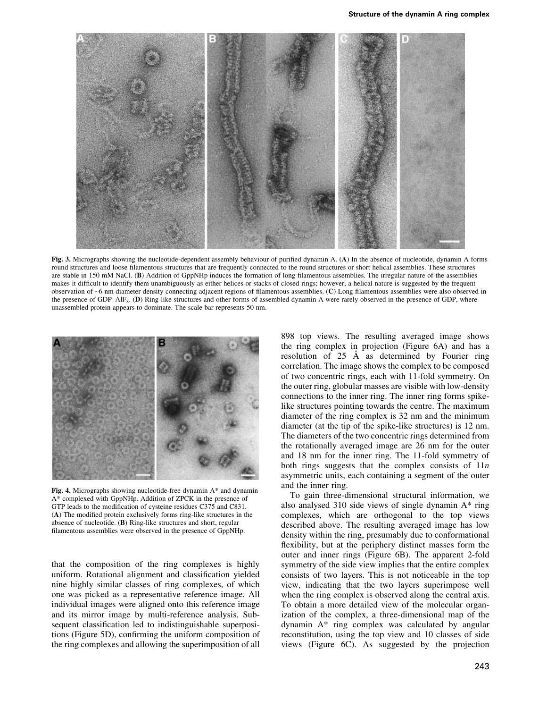

Fig. 3. Micrographs showing the nucleotide-dependent assembly behaviour of purified dynamin A. (A) In the absence of nucleotide, dynamin A forms round structures and loose filamentous structures that are frequently connected to the round structures or short helical assemblies. These structures are stable in 150 mM NaCl. (B) Addition of GppNHp induces the formation of long filamentous assemblies. The irregular nature of the assemblies makes it difficult to identify them unambiguously as either helices or stacks of closed rings; however, a helical nature is suggested by the frequent observation of ~6 nm diameter density connecting adjacent regions of filamentous assemblies. (C) Long filamentous assemblies were also observed in the presence of GDP $-AIF_x$ . (D) Ring-like structures and other forms of assembled dynamin A were rarely observed in the presence of GDP, where unassembled protein appears to dominate. The scale bar represents 50 nm.



Fig. 4. Micrographs showing nucleotide-free dynamin A\* and dynamin A\* complexed with GppNHp. Addition of ZPCK in the presence of GTP leads to the modification of cysteine residues C375 and C831.  $(A)$  The modified protein exclusively forms ring-like structures in the absence of nucleotide. (B) Ring-like structures and short, regular filamentous assemblies were observed in the presence of GppNHp.

that the composition of the ring complexes is highly uniform. Rotational alignment and classification yielded nine highly similar classes of ring complexes, of which one was picked as a representative reference image. All individual images were aligned onto this reference image and its mirror image by multi-reference analysis. Subsequent classification led to indistinguishable superpositions (Figure 5D), confirming the uniform composition of the ring complexes and allowing the superimposition of all 898 top views. The resulting averaged image shows the ring complex in projection (Figure 6A) and has a resolution of  $25$  Å as determined by Fourier ring correlation. The image shows the complex to be composed of two concentric rings, each with 11-fold symmetry. On the outer ring, globular masses are visible with low-density connections to the inner ring. The inner ring forms spikelike structures pointing towards the centre. The maximum diameter of the ring complex is 32 nm and the minimum diameter (at the tip of the spike-like structures) is 12 nm. The diameters of the two concentric rings determined from the rotationally averaged image are 26 nm for the outer and 18 nm for the inner ring. The 11-fold symmetry of both rings suggests that the complex consists of  $11n$ asymmetric units, each containing a segment of the outer and the inner ring.

To gain three-dimensional structural information, we also analysed 310 side views of single dynamin A\* ring complexes, which are orthogonal to the top views described above. The resulting averaged image has low density within the ring, presumably due to conformational flexibility, but at the periphery distinct masses form the outer and inner rings (Figure 6B). The apparent 2-fold symmetry of the side view implies that the entire complex consists of two layers. This is not noticeable in the top view, indicating that the two layers superimpose well when the ring complex is observed along the central axis. To obtain a more detailed view of the molecular organization of the complex, a three-dimensional map of the dynamin A\* ring complex was calculated by angular reconstitution, using the top view and 10 classes of side views (Figure 6C). As suggested by the projection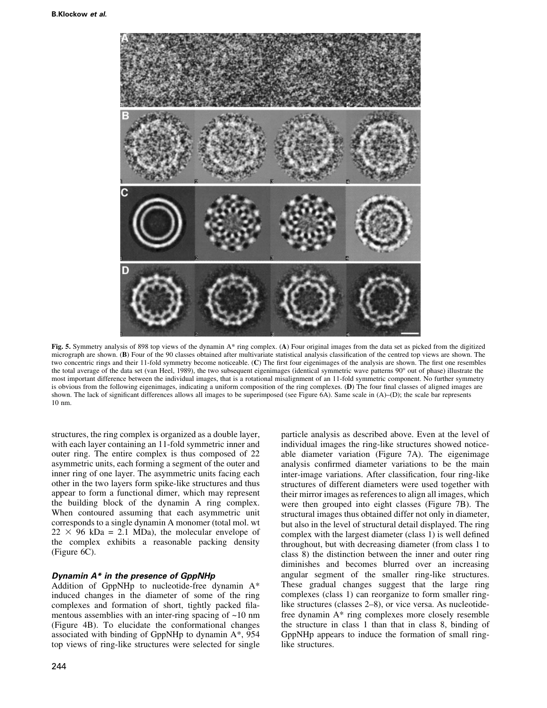

Fig. 5. Symmetry analysis of 898 top views of the dynamin A\* ring complex. (A) Four original images from the data set as picked from the digitized micrograph are shown. (B) Four of the 90 classes obtained after multivariate statistical analysis classification of the centred top views are shown. The two concentric rings and their 11-fold symmetry become noticeable. (C) The first four eigenimages of the analysis are shown. The first one resembles the total average of the data set (van Heel, 1989), the two subsequent eigenimages (identical symmetric wave patterns  $90^{\circ}$  out of phase) illustrate the most important difference between the individual images, that is a rotational misalignment of an 11-fold symmetric component. No further symmetry is obvious from the following eigenimages, indicating a uniform composition of the ring complexes.  $(D)$  The four final classes of aligned images are shown. The lack of significant differences allows all images to be superimposed (see Figure 6A). Same scale in  $(A)$ –(D); the scale bar represents 10 nm.

structures, the ring complex is organized as a double layer, with each layer containing an 11-fold symmetric inner and outer ring. The entire complex is thus composed of 22 asymmetric units, each forming a segment of the outer and inner ring of one layer. The asymmetric units facing each other in the two layers form spike-like structures and thus appear to form a functional dimer, which may represent the building block of the dynamin A ring complex. When contoured assuming that each asymmetric unit corresponds to a single dynamin A monomer (total mol. wt  $22 \times 96$  kDa = 2.1 MDa), the molecular envelope of the complex exhibits a reasonable packing density (Figure 6C).

## Dynamin A\* in the presence of GppNHp

Addition of GppNHp to nucleotide-free dynamin A\* induced changes in the diameter of some of the ring complexes and formation of short, tightly packed filamentous assemblies with an inter-ring spacing of  $\sim 10$  nm (Figure 4B). To elucidate the conformational changes associated with binding of GppNHp to dynamin A\*, 954 top views of ring-like structures were selected for single

individual images the ring-like structures showed noticeable diameter variation (Figure 7A). The eigenimage analysis confirmed diameter variations to be the main inter-image variations. After classification, four ring-like structures of different diameters were used together with their mirror images as references to align all images, which were then grouped into eight classes (Figure 7B). The structural images thus obtained differ not only in diameter, but also in the level of structural detail displayed. The ring complex with the largest diameter (class 1) is well defined throughout, but with decreasing diameter (from class 1 to class 8) the distinction between the inner and outer ring diminishes and becomes blurred over an increasing angular segment of the smaller ring-like structures. These gradual changes suggest that the large ring complexes (class 1) can reorganize to form smaller ringlike structures (classes 2–8), or vice versa. As nucleotidefree dynamin A\* ring complexes more closely resemble the structure in class 1 than that in class 8, binding of GppNHp appears to induce the formation of small ringlike structures.

particle analysis as described above. Even at the level of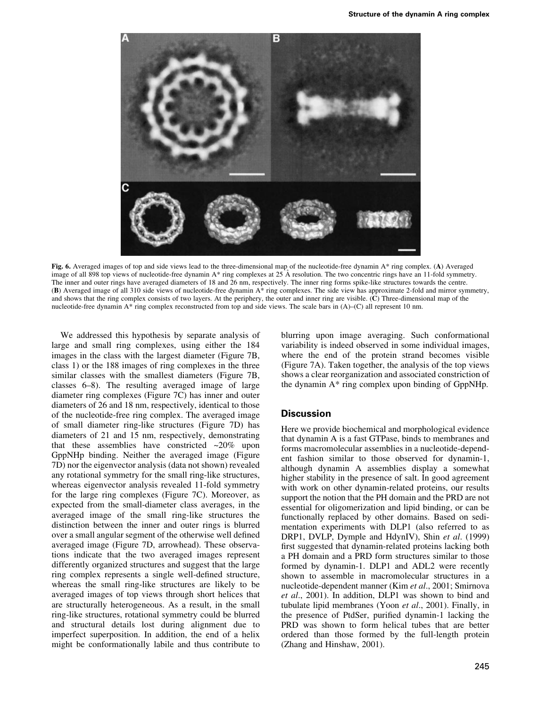

Fig. 6. Averaged images of top and side views lead to the three-dimensional map of the nucleotide-free dynamin A\* ring complex. (A) Averaged image of all 898 top views of nucleotide-free dynamin A\* ring complexes at 25 Å resolution. The two concentric rings have an 11-fold symmetry. The inner and outer rings have averaged diameters of 18 and 26 nm, respectively. The inner ring forms spike-like structures towards the centre. (B) Averaged image of all 310 side views of nucleotide-free dynamin A\* ring complexes. The side view has approximate 2-fold and mirror symmetry, and shows that the ring complex consists of two layers. At the periphery, the outer and inner ring are visible. (C) Three-dimensional map of the nucleotide-free dynamin  $A^*$  ring complex reconstructed from top and side views. The scale bars in  $(A)$ – $(C)$  all represent 10 nm.

We addressed this hypothesis by separate analysis of large and small ring complexes, using either the 184 images in the class with the largest diameter (Figure 7B, class 1) or the 188 images of ring complexes in the three similar classes with the smallest diameters (Figure 7B, classes 6–8). The resulting averaged image of large diameter ring complexes (Figure 7C) has inner and outer diameters of 26 and 18 nm, respectively, identical to those of the nucleotide-free ring complex. The averaged image of small diameter ring-like structures (Figure 7D) has diameters of 21 and 15 nm, respectively, demonstrating that these assemblies have constricted  $\sim$ 20% upon GppNHp binding. Neither the averaged image (Figure 7D) nor the eigenvector analysis (data not shown) revealed any rotational symmetry for the small ring-like structures, whereas eigenvector analysis revealed 11-fold symmetry for the large ring complexes (Figure 7C). Moreover, as expected from the small-diameter class averages, in the averaged image of the small ring-like structures the distinction between the inner and outer rings is blurred over a small angular segment of the otherwise well defined averaged image (Figure 7D, arrowhead). These observations indicate that the two averaged images represent differently organized structures and suggest that the large ring complex represents a single well-defined structure, whereas the small ring-like structures are likely to be averaged images of top views through short helices that are structurally heterogeneous. As a result, in the small ring-like structures, rotational symmetry could be blurred and structural details lost during alignment due to imperfect superposition. In addition, the end of a helix might be conformationally labile and thus contribute to

blurring upon image averaging. Such conformational variability is indeed observed in some individual images, where the end of the protein strand becomes visible (Figure 7A). Taken together, the analysis of the top views shows a clear reorganization and associated constriction of the dynamin A\* ring complex upon binding of GppNHp.

## **Discussion**

Here we provide biochemical and morphological evidence that dynamin A is a fast GTPase, binds to membranes and forms macromolecular assemblies in a nucleotide-dependent fashion similar to those observed for dynamin-1, although dynamin A assemblies display a somewhat higher stability in the presence of salt. In good agreement with work on other dynamin-related proteins, our results support the notion that the PH domain and the PRD are not essential for oligomerization and lipid binding, or can be functionally replaced by other domains. Based on sedimentation experiments with DLP1 (also referred to as DRP1, DVLP, Dymple and HdynIV), Shin et al. (1999) first suggested that dynamin-related proteins lacking both a PH domain and a PRD form structures similar to those formed by dynamin-1. DLP1 and ADL2 were recently shown to assemble in macromolecular structures in a nucleotide-dependent manner (Kim et al., 2001; Smirnova et al., 2001). In addition, DLP1 was shown to bind and tubulate lipid membranes (Yoon et al., 2001). Finally, in the presence of PtdSer, purified dynamin-1 lacking the PRD was shown to form helical tubes that are better ordered than those formed by the full-length protein (Zhang and Hinshaw, 2001).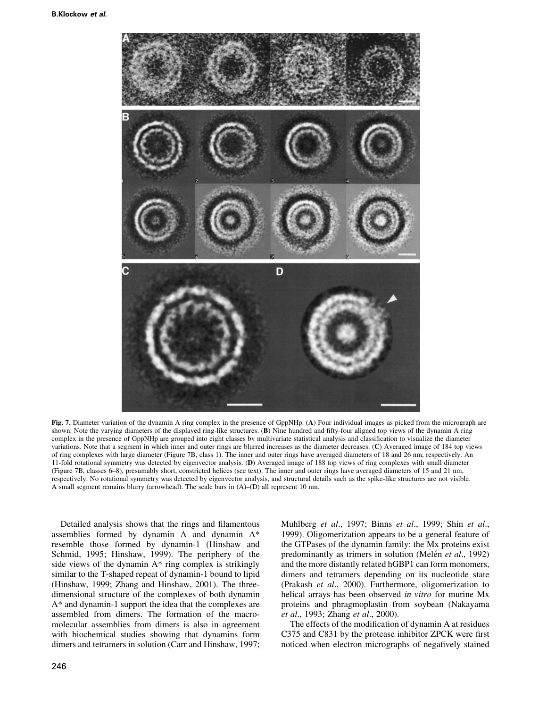

Fig. 7. Diameter variation of the dynamin A ring complex in the presence of GppNHp. (A) Four individual images as picked from the micrograph are shown. Note the varying diameters of the displayed ring-like structures. (B) Nine hundred and fifty-four aligned top views of the dynamin A ring complex in the presence of GppNHp are grouped into eight classes by multivariate statistical analysis and classification to visualize the diameter variations. Note that a segment in which inner and outer rings are blurred increases as the diameter decreases. (C) Averaged image of 184 top views of ring complexes with large diameter (Figure 7B, class 1). The inner and outer rings have averaged diameters of 18 and 26 nm, respectively. An 11-fold rotational symmetry was detected by eigenvector analysis. (D) Averaged image of 188 top views of ring complexes with small diameter (Figure 7B, classes 6±8), presumably short, constricted helices (see text). The inner and outer rings have averaged diameters of 15 and 21 nm, respectively. No rotational symmetry was detected by eigenvector analysis, and structural details such as the spike-like structures are not visible. A small segment remains blurry (arrowhead). The scale bars in  $(A)$ – $(D)$  all represent 10 nm.

Detailed analysis shows that the rings and filamentous assemblies formed by dynamin A and dynamin A\* resemble those formed by dynamin-1 (Hinshaw and Schmid, 1995; Hinshaw, 1999). The periphery of the side views of the dynamin A\* ring complex is strikingly similar to the T-shaped repeat of dynamin-1 bound to lipid (Hinshaw, 1999; Zhang and Hinshaw, 2001). The threedimensional structure of the complexes of both dynamin A\* and dynamin-1 support the idea that the complexes are assembled from dimers. The formation of the macromolecular assemblies from dimers is also in agreement with biochemical studies showing that dynamins form dimers and tetramers in solution (Carr and Hinshaw, 1997; Muhlberg et al., 1997; Binns et al., 1999; Shin et al., 1999). Oligomerization appears to be a general feature of the GTPases of the dynamin family: the Mx proteins exist predominantly as trimers in solution (Melén et al., 1992) and the more distantly related hGBP1 can form monomers, dimers and tetramers depending on its nucleotide state (Prakash et al., 2000). Furthermore, oligomerization to helical arrays has been observed in vitro for murine Mx proteins and phragmoplastin from soybean (Nakayama et al., 1993; Zhang et al., 2000).

The effects of the modification of dynamin A at residues C375 and C831 by the protease inhibitor ZPCK were first noticed when electron micrographs of negatively stained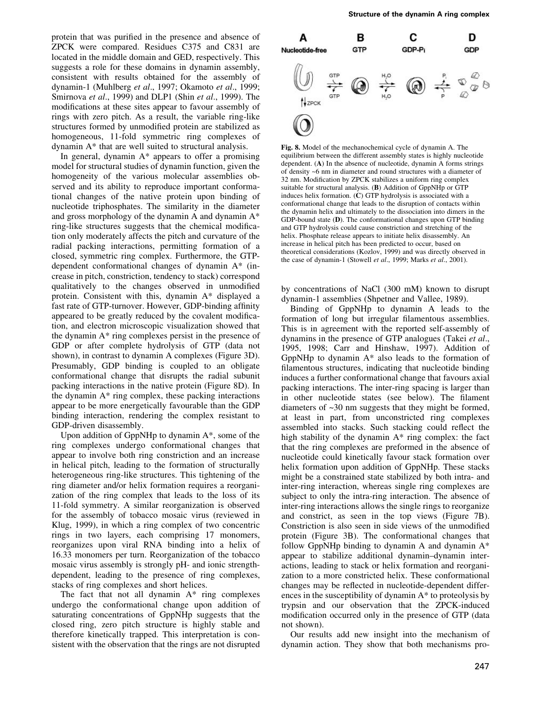protein that was purified in the presence and absence of ZPCK were compared. Residues C375 and C831 are located in the middle domain and GED, respectively. This suggests a role for these domains in dynamin assembly, consistent with results obtained for the assembly of dynamin-1 (Muhlberg et al., 1997; Okamoto et al., 1999; Smirnova et al., 1999) and DLP1 (Shin et al., 1999). The modifications at these sites appear to favour assembly of rings with zero pitch. As a result, the variable ring-like structures formed by unmodified protein are stabilized as homogeneous, 11-fold symmetric ring complexes of dynamin A\* that are well suited to structural analysis.

In general, dynamin A\* appears to offer a promising model for structural studies of dynamin function, given the homogeneity of the various molecular assemblies observed and its ability to reproduce important conformational changes of the native protein upon binding of nucleotide triphosphates. The similarity in the diameter and gross morphology of the dynamin A and dynamin A\* ring-like structures suggests that the chemical modification only moderately affects the pitch and curvature of the radial packing interactions, permitting formation of a closed, symmetric ring complex. Furthermore, the GTPdependent conformational changes of dynamin A\* (increase in pitch, constriction, tendency to stack) correspond qualitatively to the changes observed in unmodified protein. Consistent with this, dynamin A\* displayed a fast rate of GTP-turnover. However, GDP-binding affinity appeared to be greatly reduced by the covalent modification, and electron microscopic visualization showed that the dynamin A\* ring complexes persist in the presence of GDP or after complete hydrolysis of GTP (data not shown), in contrast to dynamin A complexes (Figure 3D). Presumably, GDP binding is coupled to an obligate conformational change that disrupts the radial subunit packing interactions in the native protein (Figure 8D). In the dynamin  $A^*$  ring complex, these packing interactions appear to be more energetically favourable than the GDP binding interaction, rendering the complex resistant to GDP-driven disassembly.

Upon addition of GppNHp to dynamin A\*, some of the ring complexes undergo conformational changes that appear to involve both ring constriction and an increase in helical pitch, leading to the formation of structurally heterogeneous ring-like structures. This tightening of the ring diameter and/or helix formation requires a reorganization of the ring complex that leads to the loss of its 11-fold symmetry. A similar reorganization is observed for the assembly of tobacco mosaic virus (reviewed in Klug, 1999), in which a ring complex of two concentric rings in two layers, each comprising 17 monomers, reorganizes upon viral RNA binding into a helix of 16.33 monomers per turn. Reorganization of the tobacco mosaic virus assembly is strongly pH- and ionic strengthdependent, leading to the presence of ring complexes, stacks of ring complexes and short helices.

The fact that not all dynamin A\* ring complexes undergo the conformational change upon addition of saturating concentrations of GppNHp suggests that the closed ring, zero pitch structure is highly stable and therefore kinetically trapped. This interpretation is consistent with the observation that the rings are not disrupted



Fig. 8. Model of the mechanochemical cycle of dynamin A. The equilibrium between the different assembly states is highly nucleotide dependent. (A) In the absence of nucleotide, dynamin A forms strings of density ~6 nm in diameter and round structures with a diameter of 32 nm. Modification by ZPCK stabilizes a uniform ring complex suitable for structural analysis. (B) Addition of GppNHp or GTP induces helix formation. (C) GTP hydrolysis is associated with a conformational change that leads to the disruption of contacts within the dynamin helix and ultimately to the dissociation into dimers in the GDP-bound state (D). The conformational changes upon GTP binding and GTP hydrolysis could cause constriction and stretching of the helix. Phosphate release appears to initiate helix disassembly. An increase in helical pitch has been predicted to occur, based on theoretical considerations (Kozlov, 1999) and was directly observed in the case of dynamin-1 (Stowell et al., 1999; Marks et al., 2001).

by concentrations of NaCl (300 mM) known to disrupt dynamin-1 assemblies (Shpetner and Vallee, 1989).

Binding of GppNHp to dynamin A leads to the formation of long but irregular filamentous assemblies. This is in agreement with the reported self-assembly of dynamins in the presence of GTP analogues (Takei et al., 1995, 1998; Carr and Hinshaw, 1997). Addition of GppNHp to dynamin  $A^*$  also leads to the formation of filamentous structures, indicating that nucleotide binding induces a further conformational change that favours axial packing interactions. The inter-ring spacing is larger than in other nucleotide states (see below). The filament diameters of ~30 nm suggests that they might be formed, at least in part, from unconstricted ring complexes assembled into stacks. Such stacking could reflect the high stability of the dynamin A\* ring complex: the fact that the ring complexes are preformed in the absence of nucleotide could kinetically favour stack formation over helix formation upon addition of GppNHp. These stacks might be a constrained state stabilized by both intra- and inter-ring interaction, whereas single ring complexes are subject to only the intra-ring interaction. The absence of inter-ring interactions allows the single rings to reorganize and constrict, as seen in the top views (Figure 7B). Constriction is also seen in side views of the unmodified protein (Figure 3B). The conformational changes that follow GppNHp binding to dynamin A and dynamin A\* appear to stabilize additional dynamin-dynamin interactions, leading to stack or helix formation and reorganization to a more constricted helix. These conformational changes may be reflected in nucleotide-dependent differences in the susceptibility of dynamin A\* to proteolysis by trypsin and our observation that the ZPCK-induced modification occurred only in the presence of GTP (data not shown).

Our results add new insight into the mechanism of dynamin action. They show that both mechanisms pro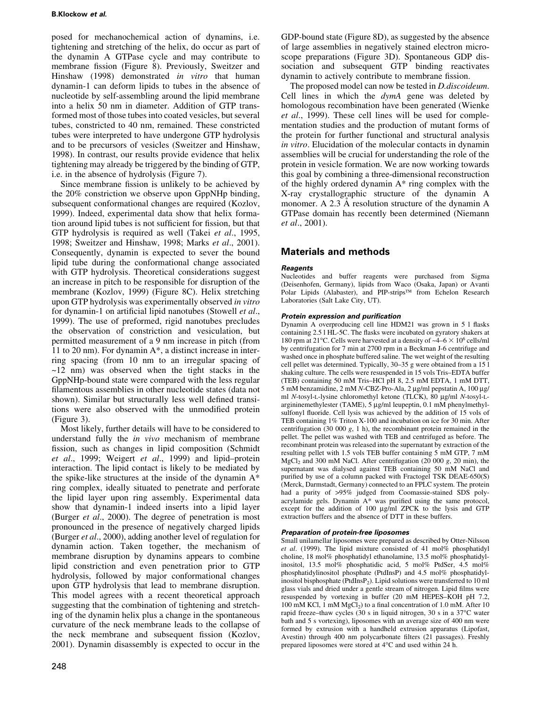posed for mechanochemical action of dynamins, i.e. tightening and stretching of the helix, do occur as part of the dynamin A GTPase cycle and may contribute to membrane fission (Figure 8). Previously, Sweitzer and Hinshaw (1998) demonstrated in vitro that human dynamin-1 can deform lipids to tubes in the absence of nucleotide by self-assembling around the lipid membrane into a helix 50 nm in diameter. Addition of GTP transformed most of those tubes into coated vesicles, but several tubes, constricted to 40 nm, remained. These constricted tubes were interpreted to have undergone GTP hydrolysis and to be precursors of vesicles (Sweitzer and Hinshaw, 1998). In contrast, our results provide evidence that helix tightening may already be triggered by the binding of GTP, i.e. in the absence of hydrolysis (Figure 7).

Since membrane fission is unlikely to be achieved by the 20% constriction we observe upon GppNHp binding, subsequent conformational changes are required (Kozlov, 1999). Indeed, experimental data show that helix formation around lipid tubes is not sufficient for fission, but that GTP hydrolysis is required as well (Takei et al., 1995, 1998; Sweitzer and Hinshaw, 1998; Marks et al., 2001). Consequently, dynamin is expected to sever the bound lipid tube during the conformational change associated with GTP hydrolysis. Theoretical considerations suggest an increase in pitch to be responsible for disruption of the membrane (Kozlov, 1999) (Figure 8C). Helix stretching upon GTP hydrolysis was experimentally observed in vitro for dynamin-1 on artificial lipid nanotubes (Stowell *et al.*, 1999). The use of preformed, rigid nanotubes precludes the observation of constriction and vesiculation, but permitted measurement of a 9 nm increase in pitch (from 11 to 20 nm). For dynamin A\*, a distinct increase in interring spacing (from 10 nm to an irregular spacing of  $\sim$ 12 nm) was observed when the tight stacks in the GppNHp-bound state were compared with the less regular filamentous assemblies in other nucleotide states (data not shown). Similar but structurally less well defined transitions were also observed with the unmodified protein (Figure 3).

Most likely, further details will have to be considered to understand fully the in vivo mechanism of membrane fission, such as changes in lipid composition (Schmidt et al., 1999; Weigert et al., 1999) and lipid-protein interaction. The lipid contact is likely to be mediated by the spike-like structures at the inside of the dynamin A\* ring complex, ideally situated to penetrate and perforate the lipid layer upon ring assembly. Experimental data show that dynamin-1 indeed inserts into a lipid layer (Burger et al., 2000). The degree of penetration is most pronounced in the presence of negatively charged lipids (Burger et al., 2000), adding another level of regulation for dynamin action. Taken together, the mechanism of membrane disruption by dynamins appears to combine lipid constriction and even penetration prior to GTP hydrolysis, followed by major conformational changes upon GTP hydrolysis that lead to membrane disruption. This model agrees with a recent theoretical approach suggesting that the combination of tightening and stretching of the dynamin helix plus a change in the spontaneous curvature of the neck membrane leads to the collapse of the neck membrane and subsequent fission (Kozlov, 2001). Dynamin disassembly is expected to occur in the

GDP-bound state (Figure 8D), as suggested by the absence of large assemblies in negatively stained electron microscope preparations (Figure 3D). Spontaneous GDP dissociation and subsequent GTP binding reactivates dynamin to actively contribute to membrane fission.

The proposed model can now be tested in *D.discoideum*. Cell lines in which the dymA gene was deleted by homologous recombination have been generated (Wienke et al., 1999). These cell lines will be used for complementation studies and the production of mutant forms of the protein for further functional and structural analysis in vitro. Elucidation of the molecular contacts in dynamin assemblies will be crucial for understanding the role of the protein in vesicle formation. We are now working towards this goal by combining a three-dimensional reconstruction of the highly ordered dynamin A\* ring complex with the X-ray crystallographic structure of the dynamin A monomer. A  $2.3 \text{ Å}$  resolution structure of the dynamin A GTPase domain has recently been determined (Niemann et al., 2001).

# Materials and methods

### Reagents

Nucleotides and buffer reagents were purchased from Sigma (Deisenhofen, Germany), lipids from Waco (Osaka, Japan) or Avanti Polar Lipids (Alabaster), and PIP-strips™ from Echelon Research Laboratories (Salt Lake City, UT).

#### Protein expression and purification

Dynamin A overproducing cell line HDM21 was grown in 5 l flasks containing 2.5 l HL-5C. The flasks were incubated on gyratory shakers at 180 rpm at 21°C. Cells were harvested at a density of  $-4-6 \times 10^6$  cells/ml by centrifugation for 7 min at 2700 rpm in a Beckman J-6 centrifuge and washed once in phosphate buffered saline. The wet weight of the resulting cell pellet was determined. Typically, 30-35 g were obtained from a 15 l shaking culture. The cells were resuspended in 15 vols Tris-EDTA buffer (TEB) containing 50 mM Tris-HCl pH 8, 2.5 mM EDTA, 1 mM DTT, 5 mM benzamidine, 2 mM N-CBZ-Pro-Ala, 2 µg/ml pepstatin A, 100 µg/ ml N-tosyl-L-lysine chloromethyl ketone (TLCK),  $80 \mu g/ml$  N-tosyl-Largininemethylester (TAME), 5 µg/ml leupeptin, 0.1 mM phenylmethylsulfonyl fluoride. Cell lysis was achieved by the addition of 15 vols of TEB containing 1% Triton X-100 and incubation on ice for 30 min. After centrifugation (30 000  $g$ , 1 h), the recombinant protein remained in the pellet. The pellet was washed with TEB and centrifuged as before. The recombinant protein was released into the supernatant by extraction of the resulting pellet with 1.5 vols TEB buffer containing 5 mM GTP, 7 mM  $MgCl<sub>2</sub>$  and 300 mM NaCl. After centrifugation (20 000 g, 20 min), the supernatant was dialysed against TEB containing 50 mM NaCl and purified by use of a column packed with Fractogel TSK DEAE-650(S) (Merck, Darmstadt, Germany) connected to an FPLC system. The protein had a purity of >95% judged from Coomassie-stained SDS polyacrylamide gels. Dynamin  $A^*$  was purified using the same protocol, except for the addition of 100 µg/ml ZPCK to the lysis and GTP extraction buffers and the absence of DTT in these buffers.

#### Preparation of protein-free liposomes

Small unilamellar liposomes were prepared as described by Otter-Nilsson et al. (1999). The lipid mixture consisted of 41 mol% phosphatidyl choline, 18 mol% phosphatidyl ethanolamine, 13.5 mol% phosphatidylinositol, 13.5 mol% phosphatidic acid, 5 mol% PtdSer, 4.5 mol% phosphatidylinositol phosphate (PtdInsP) and 4.5 mol% phosphatidylinositol bisphosphate ( $PtdInsP_2$ ). Lipid solutions were transferred to 10 ml glass vials and dried under a gentle stream of nitrogen. Lipid films were resuspended by vortexing in buffer (20 mM HEPES-KOH pH 7.2, 100 mM KCl,  $1 \text{ mM } MgCl<sub>2</sub>$ ) to a final concentration of 1.0 mM. After 10 rapid freeze-thaw cycles (30 s in liquid nitrogen, 30 s in a 37°C water bath and 5 s vortexing), liposomes with an average size of 400 nm were formed by extrusion with a handheld extrusion apparatus (Lipofast, Avestin) through 400 nm polycarbonate filters (21 passages). Freshly prepared liposomes were stored at 4°C and used within 24 h.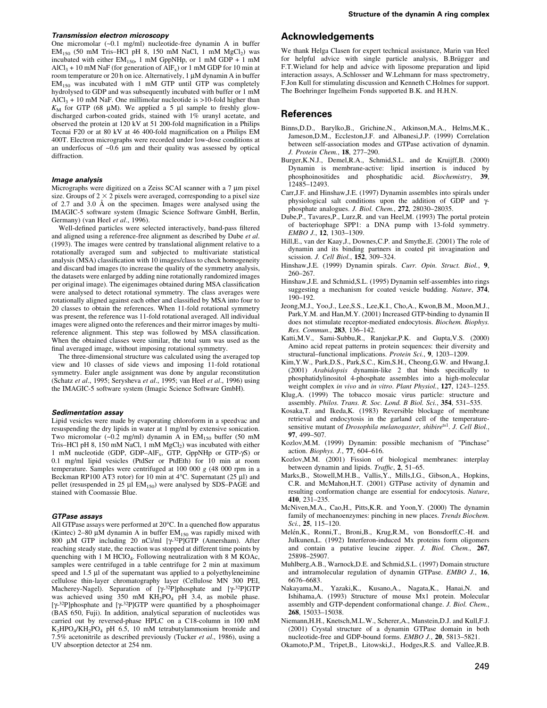#### Transmission electron microscopy

One micromolar (~0.1 mg/ml) nucleotide-free dynamin A in buffer  $EM<sub>150</sub>$  (50 mM Tris-HCl pH 8, 150 mM NaCl, 1 mM MgCl<sub>2</sub>) was incubated with either  $EM_{150}$ , 1 mM GppNHp, or 1 mM GDP + 1 mM AlCl<sub>3</sub> + 10 mM NaF (for generation of AlF<sub>x</sub>) or 1 mM GDP for 10 min at room temperature or 20 h on ice. Alternatively, 1  $\mu$ M dynamin A in buffer  $EM<sub>150</sub>$  was incubated with 1 mM GTP until GTP was completely hydrolysed to GDP and was subsequently incubated with buffer or 1 mM AlCl<sub>3</sub> + 10 mM NaF. One millimolar nucleotide is >10-fold higher than  $K_M$  for GTP (68 µM). We applied a 5 µl sample to freshly glowdischarged carbon-coated grids, stained with 1% uranyl acetate, and observed the protein at 120 kV at 51 200-fold magnification in a Philips Tecnai F20 or at 80 kV at 46 400-fold magnification on a Philips EM 400T. Electron micrographs were recorded under low-dose conditions at an underfocus of  $\sim 0.6$  µm and their quality was assessed by optical diffraction.

#### Image analysis

Micrographs were digitized on a Zeiss SCAI scanner with a  $7 \mu m$  pixel size. Groups of  $2 \times 2$  pixels were averaged, corresponding to a pixel size of  $2.7$  and  $3.0$  Å on the specimen. Images were analysed using the IMAGIC-5 software system (Imagic Science Software GmbH, Berlin, Germany) (van Heel et al., 1996).

Well-defined particles were selected interactively, band-pass filtered and aligned using a reference-free alignment as described by Dube et al. (1993). The images were centred by translational alignment relative to a rotationally averaged sum and subjected to multivariate statistical analysis (MSA) classification with 10 images/class to check homogeneity and discard bad images (to increase the quality of the symmetry analysis, the datasets were enlarged by adding nine rotationally randomized images per original image). The eigenimages obtained during MSA classification were analysed to detect rotational symmetry. The class averages were rotationally aligned against each other and classified by MSA into four to 20 classes to obtain the references. When 11-fold rotational symmetry was present, the reference was 11-fold rotational averaged. All individual images were aligned onto the references and their mirror images by multireference alignment. This step was followed by MSA classification. When the obtained classes were similar, the total sum was used as the final averaged image, without imposing rotational symmetry.

The three-dimensional structure was calculated using the averaged top view and 10 classes of side views and imposing 11-fold rotational symmetry. Euler angle assignment was done by angular reconstitution (Schatz et al., 1995; Serysheva et al., 1995; van Heel et al., 1996) using the IMAGIC-5 software system (Imagic Science Software GmbH).

#### Sedimentation assay

Lipid vesicles were made by evaporating chloroform in a speedvac and resuspending the dry lipids in water at 1 mg/ml by extensive sonication. Two micromolar  $(-0.2 \text{ mg/ml})$  dynamin A in EM<sub>150</sub> buffer (50 mM Tris-HCl pH 8, 150 mM NaCl, 1 mM  ${ {\rm MgCl}_2})$  was incubated with either 1 mM nucleotide (GDP, GDP-AlF<sub>x</sub>, GTP, GppNHp or GTP- $\gamma$ S) or 0.1 mg/ml lipid vesicles (PtdSer or PtdEth) for 10 min at room temperature. Samples were centrifuged at 100 000 g (48 000 rpm in a Beckman RP100 AT3 rotor) for 10 min at  $4^{\circ}$ C. Supernatant (25 µl) and pellet (resuspended in 25  $\mu$ l EM<sub>150</sub>) were analysed by SDS-PAGE and stained with Coomassie Blue.

#### GTPase assays

All GTPase assays were performed at  $20^{\circ}$ C. In a quenched flow apparatus (Kintec) 2–80  $\mu$ M dynamin A in buffer EM<sub>150</sub> was rapidly mixed with 800  $\mu$ M GTP including 20 nCi/ml [ $\gamma$ -32P]GTP (Amersham). After reaching steady state, the reaction was stopped at different time points by quenching with 1 M HClO<sub>4</sub>. Following neutralization with 8 M KOAc, samples were centrifuged in a table centrifuge for 2 min at maximum speed and 1.5 µl of the supernatant was applied to a polyethyleneimine cellulose thin-layer chromatography layer (Cellulose MN 300 PEI, Macherey-Nagel). Separation of  $[\gamma^{-32}P]$ phosphate and  $[\gamma^{-32}P]GTP$ was achieved using 350 mM KH<sub>2</sub>PO<sub>4</sub> pH 3.4, as mobile phase. [ $\gamma$ <sup>-32</sup>P]phosphate and [ $\gamma$ <sup>-32</sup>P]GTP were quantified by a phosphoimager (BAS 650, Fuji). In addition, analytical separation of nucleotides was carried out by reversed-phase HPLC on a C18-column in 100 mM K2HPO4/KH2PO4 pH 6.5, 10 mM tetrabutylammonium bromide and 7.5% acetonitrile as described previously (Tucker et al., 1986), using a UV absorption detector at 254 nm.

### Acknowledgements

We thank Helga Clasen for expert technical assistance, Marin van Heel for helpful advice with single particle analysis, B.Brügger and F.T.Wieland for help and advice with liposome preparation and lipid interaction assays, A.Schlosser and W.Lehmann for mass spectrometry, F.Jon Kull for stimulating discussion and Kenneth C.Holmes for support. The Boehringer Ingelheim Fonds supported B.K. and H.H.N.

#### References

- Binns,D.D., Barylko,B., Grichine,N., Atkinson,M.A., Helms,M.K., Jameson,D.M., Eccleston,J.F. and Albanesi,J.P. (1999) Correlation between self-association modes and GTPase activation of dynamin. J. Protein Chem., 18, 277-290.
- Burger,K.N.J., Demel,R.A., Schmid,S.L. and de Kruijff,B. (2000) Dynamin is membrane-active: lipid insertion is induced by phosphoinositides and phosphatidic acid. Biochemistry, 39, 12485±12493.
- Carr,J.F. and Hinshaw,J.E. (1997) Dynamin assembles into spirals under physiological salt conditions upon the addition of GDP and  $\gamma$ phosphate analogues. J. Biol. Chem., 272, 28030-28035.
- Dube,P., Tavares,P., Lurz,R. and van Heel,M. (1993) The portal protein of bacteriophage SPP1: a DNA pump with 13-fold symmetry. EMBO J., 12, 1303-1309.
- Hill,E., van der Kaay,J., Downes,C.P. and Smythe,E. (2001) The role of dynamin and its binding partners in coated pit invagination and scission. J. Cell Biol., 152, 309-324.
- Hinshaw,J.E. (1999) Dynamin spirals. Curr. Opin. Struct. Biol., 9, 260±267.
- Hinshaw,J.E. and Schmid,S.L. (1995) Dynamin self-assembles into rings suggesting a mechanism for coated vesicle budding. Nature, 374, 190±192.
- Jeong,M.J., Yoo,J., Lee,S.S., Lee,K.I., Cho,A., Kwon,B.M., Moon,M.J., Park,Y.M. and Han,M.Y. (2001) Increased GTP-binding to dynamin II does not stimulate receptor-mediated endocytosis. Biochem. Biophys. Res. Commun., 283, 136-142.
- Katti,M.V., Sami-Subbu,R., Ranjekar,P.K. and Gupta,V.S. (2000) Amino acid repeat patterns in protein sequences: their diversity and structural-functional implications. Protein Sci., 9, 1203-1209.
- Kim,Y.W., Park,D.S., Park,S.C., Kim,S.H., Cheong,G.W. and Hwang,I.  $(2001)$  Arabidopsis dynamin-like 2 that binds specifically to phosphatidylinositol 4-phosphate assembles into a high-molecular weight complex in vivo and in vitro. Plant Physiol., 127, 1243-1255.
- Klug,A. (1999) The tobacco mosaic virus particle: structure and assembly. Philos. Trans. R. Soc. Lond. B Biol. Sci., 354, 531-535.
- Kosaka,T. and Ikeda,K. (1983) Reversible blockage of membrane retrieval and endocytosis in the garland cell of the temperaturesensitive mutant of Drosophila melanogaster, shibire<sup>ts1</sup>. J. Cell Biol., 97, 499-507.
- Kozlov,M.M. (1999) Dynamin: possible mechanism of "Pinchase" action. Biophys. J.,  $77,604-616$ .
- Kozlov,M.M. (2001) Fission of biological membranes: interplay between dynamin and lipids. Traffic, 2, 51-65.
- Marks,B., Stowell,M.H.B., Vallis,Y., Mills,I.G., Gibson,A., Hopkins, C.R. and McMahon,H.T. (2001) GTPase activity of dynamin and resulting conformation change are essential for endocytosis. Nature, 410, 231-235.
- McNiven,M.A., Cao,H., Pitts,K.R. and Yoon,Y. (2000) The dynamin family of mechanoenzymes: pinching in new places. Trends Biochem. Sci., 25, 115-120.
- Melén,K., Ronni,T., Broni,B., Krug,R.M., von Bonsdorff,C.-H. and Julkunen,L. (1992) Interferon-induced Mx proteins form oligomers and contain a putative leucine zipper. J. Biol. Chem., 267, 25898±25907.
- Muhlberg,A.B., Warnock,D.E. and Schmid,S.L. (1997) Domain structure and intramolecular regulation of dynamin GTPase. EMBO J., 16, 6676±6683.
- Nakayama,M., Yazaki,K., Kusano,A., Nagata,K., Hanai,N. and Ishihama,A. (1993) Structure of mouse Mx1 protein. Molecular assembly and GTP-dependent conformational change. J. Biol. Chem., 268, 15033±15038.
- Niemann,H.H., Knetsch,M.L.W., Scherer,A., Manstein,D.J. and Kull,F.J. (2001) Crystal structure of a dynamin GTPase domain in both nucleotide-free and GDP-bound forms. EMBO J., 20, 5813-5821.
- Okamoto,P.M., Tripet,B., Litowski,J., Hodges,R.S. and Vallee,R.B.